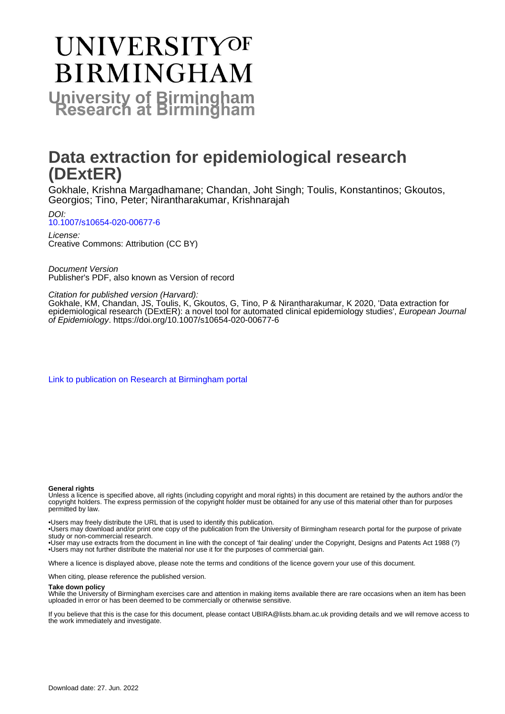# **UNIVERSITYOF BIRMINGHAM University of Birmingham**

# **Data extraction for epidemiological research (DExtER)**

Gokhale, Krishna Margadhamane; Chandan, Joht Singh; Toulis, Konstantinos; Gkoutos, Georgios; Tino, Peter; Nirantharakumar, Krishnarajah

DOI: [10.1007/s10654-020-00677-6](https://doi.org/10.1007/s10654-020-00677-6)

License: Creative Commons: Attribution (CC BY)

Document Version Publisher's PDF, also known as Version of record

Citation for published version (Harvard):

Gokhale, KM, Chandan, JS, Toulis, K, Gkoutos, G, Tino, P & Nirantharakumar, K 2020, 'Data extraction for epidemiological research (DExtER): a novel tool for automated clinical epidemiology studies', European Journal of Epidemiology. <https://doi.org/10.1007/s10654-020-00677-6>

[Link to publication on Research at Birmingham portal](https://birmingham.elsevierpure.com/en/publications/a1a61430-c17e-4c19-b549-ef254567c420)

#### **General rights**

Unless a licence is specified above, all rights (including copyright and moral rights) in this document are retained by the authors and/or the copyright holders. The express permission of the copyright holder must be obtained for any use of this material other than for purposes permitted by law.

• Users may freely distribute the URL that is used to identify this publication.

• Users may download and/or print one copy of the publication from the University of Birmingham research portal for the purpose of private study or non-commercial research.

• User may use extracts from the document in line with the concept of 'fair dealing' under the Copyright, Designs and Patents Act 1988 (?) • Users may not further distribute the material nor use it for the purposes of commercial gain.

Where a licence is displayed above, please note the terms and conditions of the licence govern your use of this document.

When citing, please reference the published version.

#### **Take down policy**

While the University of Birmingham exercises care and attention in making items available there are rare occasions when an item has been uploaded in error or has been deemed to be commercially or otherwise sensitive.

If you believe that this is the case for this document, please contact UBIRA@lists.bham.ac.uk providing details and we will remove access to the work immediately and investigate.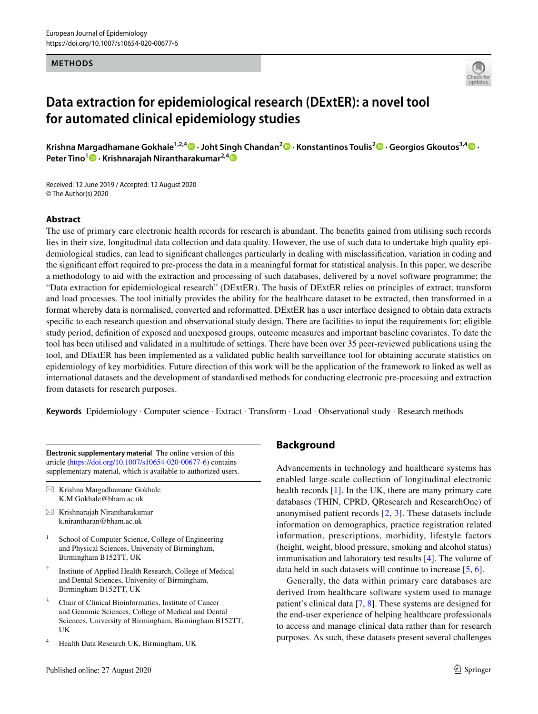### **METHODS**



# **Data extraction for epidemiological research (DExtER): a novel tool for automated clinical epidemiology studies**

**Krishna Margadhamane Gokhale1,2,4 · Joht Singh Chandan2  [·](http://orcid.org/0000-0002-9561-5141) Konstantinos Toulis2  [·](http://orcid.org/0000-0002-2044-4253) Georgios Gkoutos3,4  [·](http://orcid.org/0000-0002-2061-091X) Peter Tino<sup>1</sup>  [·](http://orcid.org/0000-0003-2330-128X) Krishnarajah Nirantharakumar2,[4](http://orcid.org/0000-0002-6816-1279)**

Received: 12 June 2019 / Accepted: 12 August 2020 © The Author(s) 2020

# **Abstract**

The use of primary care electronic health records for research is abundant. The benefts gained from utilising such records lies in their size, longitudinal data collection and data quality. However, the use of such data to undertake high quality epidemiological studies, can lead to signifcant challenges particularly in dealing with misclassifcation, variation in coding and the signifcant efort required to pre-process the data in a meaningful format for statistical analysis. In this paper, we describe a methodology to aid with the extraction and processing of such databases, delivered by a novel software programme; the "Data extraction for epidemiological research" (DExtER). The basis of DExtER relies on principles of extract, transform and load processes. The tool initially provides the ability for the healthcare dataset to be extracted, then transformed in a format whereby data is normalised, converted and reformatted. DExtER has a user interface designed to obtain data extracts specifc to each research question and observational study design. There are facilities to input the requirements for; eligible study period, defnition of exposed and unexposed groups, outcome measures and important baseline covariates. To date the tool has been utilised and validated in a multitude of settings. There have been over 35 peer-reviewed publications using the tool, and DExtER has been implemented as a validated public health surveillance tool for obtaining accurate statistics on epidemiology of key morbidities. Future direction of this work will be the application of the framework to linked as well as international datasets and the development of standardised methods for conducting electronic pre-processing and extraction from datasets for research purposes.

**Keywords** Epidemiology · Computer science · Extract · Transform · Load · Observational study · Research methods

**Electronic supplementary material** The online version of this article [\(https://doi.org/10.1007/s10654-020-00677-6\)](https://doi.org/10.1007/s10654-020-00677-6) contains supplementary material, which is available to authorized users.

- $\boxtimes$  Krishna Margadhamane Gokhale K.M.Gokhale@bham.ac.uk
- $\boxtimes$  Krishnarajah Nirantharakumar k.nirantharan@bham.ac.uk
- <sup>1</sup> School of Computer Science, College of Engineering and Physical Sciences, University of Birmingham, Birmingham B152TT, UK
- <sup>2</sup> Institute of Applied Health Research, College of Medical and Dental Sciences, University of Birmingham, Birmingham B152TT, UK
- <sup>3</sup> Chair of Clinical Bioinformatics, Institute of Cancer and Genomic Sciences, College of Medical and Dental Sciences, University of Birmingham, Birmingham B152TT, UK
- <sup>4</sup> Health Data Research UK, Birmingham, UK

# **Background**

Advancements in technology and healthcare systems has enabled large-scale collection of longitudinal electronic health records [[1\]](#page-12-0). In the UK, there are many primary care databases (THIN, CPRD, QResearch and ResearchOne) of anonymised patient records [\[2](#page-12-1), [3\]](#page-12-2). These datasets include information on demographics, practice registration related information, prescriptions, morbidity, lifestyle factors (height, weight, blood pressure, smoking and alcohol status) immunisation and laboratory test results [[4\]](#page-12-3). The volume of data held in such datasets will continue to increase [[5,](#page-12-4) [6\]](#page-12-5).

Generally, the data within primary care databases are derived from healthcare software system used to manage patient's clinical data [[7,](#page-12-6) [8\]](#page-12-7). These systems are designed for the end-user experience of helping healthcare professionals to access and manage clinical data rather than for research purposes. As such, these datasets present several challenges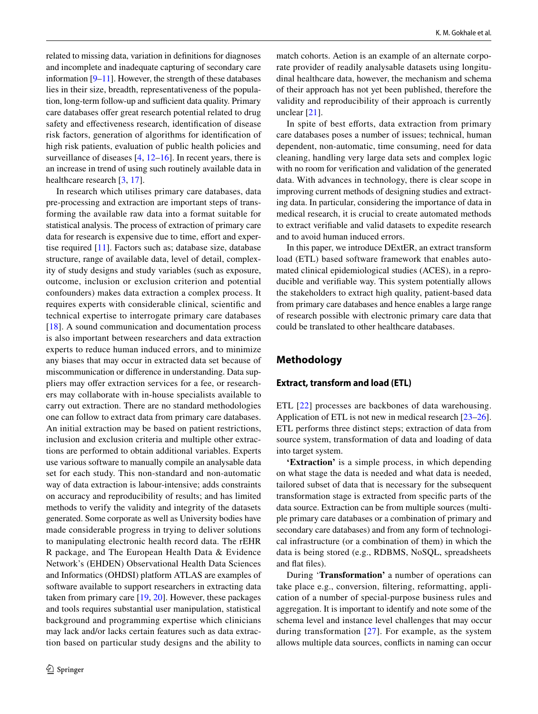related to missing data, variation in defnitions for diagnoses and incomplete and inadequate capturing of secondary care information [[9–](#page-12-8)[11\]](#page-12-9). However, the strength of these databases lies in their size, breadth, representativeness of the population, long-term follow-up and sufficient data quality. Primary care databases offer great research potential related to drug safety and efectiveness research, identifcation of disease risk factors, generation of algorithms for identifcation of high risk patients, evaluation of public health policies and surveillance of diseases [\[4](#page-12-3), [12](#page-12-10)[–16](#page-12-11)]. In recent years, there is an increase in trend of using such routinely available data in healthcare research [\[3](#page-12-2), [17\]](#page-12-12).

In research which utilises primary care databases, data pre-processing and extraction are important steps of transforming the available raw data into a format suitable for statistical analysis. The process of extraction of primary care data for research is expensive due to time, effort and expertise required [[11](#page-12-9)]. Factors such as; database size, database structure, range of available data, level of detail, complexity of study designs and study variables (such as exposure, outcome, inclusion or exclusion criterion and potential confounders) makes data extraction a complex process. It requires experts with considerable clinical, scientifc and technical expertise to interrogate primary care databases [\[18\]](#page-12-13). A sound communication and documentation process is also important between researchers and data extraction experts to reduce human induced errors, and to minimize any biases that may occur in extracted data set because of miscommunication or diference in understanding. Data suppliers may offer extraction services for a fee, or researchers may collaborate with in-house specialists available to carry out extraction. There are no standard methodologies one can follow to extract data from primary care databases. An initial extraction may be based on patient restrictions, inclusion and exclusion criteria and multiple other extractions are performed to obtain additional variables. Experts use various software to manually compile an analysable data set for each study. This non-standard and non-automatic way of data extraction is labour-intensive; adds constraints on accuracy and reproducibility of results; and has limited methods to verify the validity and integrity of the datasets generated. Some corporate as well as University bodies have made considerable progress in trying to deliver solutions to manipulating electronic health record data. The rEHR R package, and The European Health Data & Evidence Network's (EHDEN) Observational Health Data Sciences and Informatics (OHDSI) platform ATLAS are examples of software available to support researchers in extracting data taken from primary care [[19,](#page-12-14) [20\]](#page-13-0). However, these packages and tools requires substantial user manipulation, statistical background and programming expertise which clinicians may lack and/or lacks certain features such as data extraction based on particular study designs and the ability to match cohorts. Aetion is an example of an alternate corporate provider of readily analysable datasets using longitudinal healthcare data, however, the mechanism and schema of their approach has not yet been published, therefore the validity and reproducibility of their approach is currently unclear [[21\]](#page-13-1).

In spite of best efforts, data extraction from primary care databases poses a number of issues; technical, human dependent, non-automatic, time consuming, need for data cleaning, handling very large data sets and complex logic with no room for verifcation and validation of the generated data. With advances in technology, there is clear scope in improving current methods of designing studies and extracting data. In particular, considering the importance of data in medical research, it is crucial to create automated methods to extract verifable and valid datasets to expedite research and to avoid human induced errors.

In this paper, we introduce DExtER, an extract transform load (ETL) based software framework that enables automated clinical epidemiological studies (ACES), in a reproducible and verifable way. This system potentially allows the stakeholders to extract high quality, patient-based data from primary care databases and hence enables a large range of research possible with electronic primary care data that could be translated to other healthcare databases.

# **Methodology**

# **Extract, transform and load (ETL)**

ETL [[22](#page-13-2)] processes are backbones of data warehousing. Application of ETL is not new in medical research [\[23](#page-13-3)[–26](#page-13-4)]. ETL performs three distinct steps; extraction of data from source system, transformation of data and loading of data into target system.

**'Extraction'** is a simple process, in which depending on what stage the data is needed and what data is needed, tailored subset of data that is necessary for the subsequent transformation stage is extracted from specifc parts of the data source. Extraction can be from multiple sources (multiple primary care databases or a combination of primary and secondary care databases) and from any form of technological infrastructure (or a combination of them) in which the data is being stored (e.g., RDBMS, NoSQL, spreadsheets and fat fles).

During '**Transformation'** a number of operations can take place e.g., conversion, fltering, reformatting, application of a number of special-purpose business rules and aggregation. It is important to identify and note some of the schema level and instance level challenges that may occur during transformation [[27](#page-13-5)]. For example, as the system allows multiple data sources, conficts in naming can occur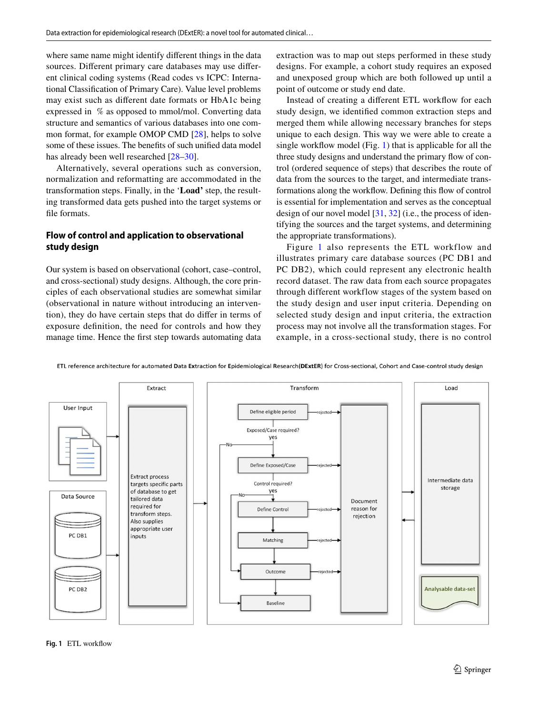where same name might identify diferent things in the data sources. Diferent primary care databases may use diferent clinical coding systems (Read codes vs ICPC: International Classifcation of Primary Care). Value level problems may exist such as diferent date formats or HbA1c being expressed in % as opposed to mmol/mol. Converting data structure and semantics of various databases into one common format, for example OMOP CMD [\[28](#page-13-6)], helps to solve some of these issues. The benefts of such unifed data model has already been well researched [\[28](#page-13-6)[–30](#page-13-7)].

Alternatively, several operations such as conversion, normalization and reformatting are accommodated in the transformation steps. Finally, in the '**Load'** step, the resulting transformed data gets pushed into the target systems or fle formats.

# **Flow of control and application to observational study design**

Our system is based on observational (cohort, case–control, and cross-sectional) study designs. Although, the core principles of each observational studies are somewhat similar (observational in nature without introducing an intervention), they do have certain steps that do difer in terms of exposure defnition, the need for controls and how they manage time. Hence the frst step towards automating data extraction was to map out steps performed in these study designs. For example, a cohort study requires an exposed and unexposed group which are both followed up until a point of outcome or study end date.

Instead of creating a diferent ETL workfow for each study design, we identifed common extraction steps and merged them while allowing necessary branches for steps unique to each design. This way we were able to create a single workfow model (Fig. [1](#page-3-0)) that is applicable for all the three study designs and understand the primary flow of control (ordered sequence of steps) that describes the route of data from the sources to the target, and intermediate transformations along the workfow. Defning this fow of control is essential for implementation and serves as the conceptual design of our novel model  $[31, 32]$  $[31, 32]$  $[31, 32]$  $[31, 32]$  (i.e., the process of identifying the sources and the target systems, and determining the appropriate transformations).

Figure [1](#page-3-0) also represents the ETL workflow and illustrates primary care database sources (PC DB1 and PC DB2), which could represent any electronic health record dataset. The raw data from each source propagates through different workflow stages of the system based on the study design and user input criteria. Depending on selected study design and input criteria, the extraction process may not involve all the transformation stages. For example, in a cross-sectional study, there is no control



ETL reference architecture for automated Data Extraction for Epidemiological Research(DExtER) for Cross-sectional, Cohort and Case-control study design

<span id="page-3-0"></span>**Fig. 1** ETL workfow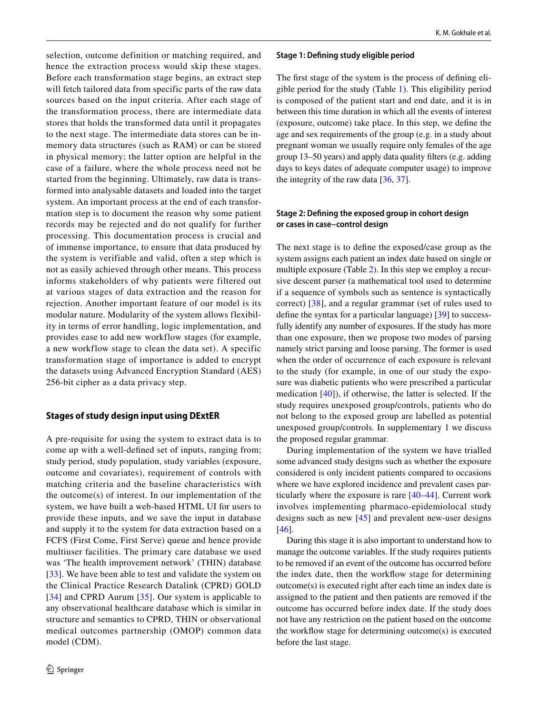selection, outcome definition or matching required, and hence the extraction process would skip these stages. Before each transformation stage begins, an extract step will fetch tailored data from specific parts of the raw data sources based on the input criteria. After each stage of the transformation process, there are intermediate data stores that holds the transformed data until it propagates to the next stage. The intermediate data stores can be inmemory data structures (such as RAM) or can be stored in physical memory; the latter option are helpful in the case of a failure, where the whole process need not be started from the beginning. Ultimately, raw data is transformed into analysable datasets and loaded into the target system. An important process at the end of each transformation step is to document the reason why some patient records may be rejected and do not qualify for further processing. This documentation process is crucial and of immense importance, to ensure that data produced by the system is verifiable and valid, often a step which is not as easily achieved through other means. This process informs stakeholders of why patients were filtered out at various stages of data extraction and the reason for rejection. Another important feature of our model is its modular nature. Modularity of the system allows flexibility in terms of error handling, logic implementation, and provides ease to add new workflow stages (for example, a new workflow stage to clean the data set). A specific transformation stage of importance is added to encrypt the datasets using Advanced Encryption Standard (AES) 256-bit cipher as a data privacy step.

# **Stages of study design input using DExtER**

A pre-requisite for using the system to extract data is to come up with a well-defned set of inputs, ranging from; study period, study population, study variables (exposure, outcome and covariates), requirement of controls with matching criteria and the baseline characteristics with the outcome(s) of interest. In our implementation of the system, we have built a web-based HTML UI for users to provide these inputs, and we save the input in database and supply it to the system for data extraction based on a FCFS (First Come, First Serve) queue and hence provide multiuser facilities. The primary care database we used was 'The health improvement network' (THIN) database [[33\]](#page-13-10). We have been able to test and validate the system on the Clinical Practice Research Datalink (CPRD) GOLD [[34\]](#page-13-11) and CPRD Aurum [[35](#page-13-12)]. Our system is applicable to any observational healthcare database which is similar in structure and semantics to CPRD, THIN or observational medical outcomes partnership (OMOP) common data model (CDM).

### **Stage 1: Defning study eligible period**

The frst stage of the system is the process of defning eligible period for the study (Table [1](#page-5-0)). This eligibility period is composed of the patient start and end date, and it is in between this time duration in which all the events of interest (exposure, outcome) take place. In this step, we defne the age and sex requirements of the group (e.g. in a study about pregnant woman we usually require only females of the age group 13–50 years) and apply data quality flters (e.g. adding days to keys dates of adequate computer usage) to improve the integrity of the raw data [[36,](#page-13-13) [37\]](#page-13-14).

# **Stage 2: Defning the exposed group in cohort design or cases in case–control design**

The next stage is to defne the exposed/case group as the system assigns each patient an index date based on single or multiple exposure (Table [2\)](#page-6-0). In this step we employ a recursive descent parser (a mathematical tool used to determine if a sequence of symbols such as sentence is syntactically correct) [[38](#page-13-15)], and a regular grammar (set of rules used to defne the syntax for a particular language) [[39\]](#page-13-16) to successfully identify any number of exposures. If the study has more than one exposure, then we propose two modes of parsing namely strict parsing and loose parsing. The former is used when the order of occurrence of each exposure is relevant to the study (for example, in one of our study the exposure was diabetic patients who were prescribed a particular medication [[40\]](#page-13-17)), if otherwise, the latter is selected. If the study requires unexposed group/controls, patients who do not belong to the exposed group are labelled as potential unexposed group/controls. In supplementary 1 we discuss the proposed regular grammar.

During implementation of the system we have trialled some advanced study designs such as whether the exposure considered is only incident patients compared to occasions where we have explored incidence and prevalent cases particularly where the exposure is rare [[40–](#page-13-17)[44](#page-13-18)]. Current work involves implementing pharmaco-epidemiolocal study designs such as new [[45](#page-13-19)] and prevalent new-user designs [[46\]](#page-13-20).

During this stage it is also important to understand how to manage the outcome variables. If the study requires patients to be removed if an event of the outcome has occurred before the index date, then the workfow stage for determining outcome(s) is executed right after each time an index date is assigned to the patient and then patients are removed if the outcome has occurred before index date. If the study does not have any restriction on the patient based on the outcome the workfow stage for determining outcome(s) is executed before the last stage.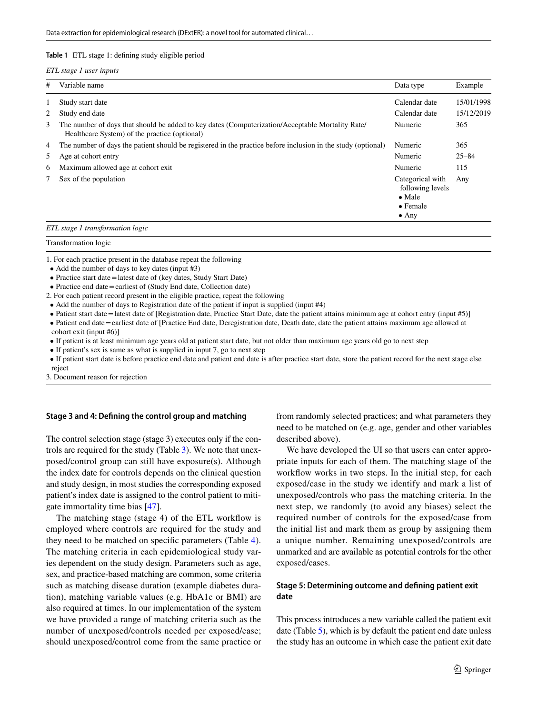#### <span id="page-5-0"></span>**Table 1** ETL stage 1: defning study eligible period

| #              | Variable name                                                                                                                                     | Data type                                                                                   | Example    |
|----------------|---------------------------------------------------------------------------------------------------------------------------------------------------|---------------------------------------------------------------------------------------------|------------|
|                | Study start date                                                                                                                                  | Calendar date                                                                               | 15/01/1998 |
| 2              | Study end date                                                                                                                                    | Calendar date                                                                               | 15/12/2019 |
| 3              | The number of days that should be added to key dates (Computerization/Acceptable Mortality Rate/<br>Healthcare System) of the practice (optional) | Numeric                                                                                     | 365        |
| $\overline{4}$ | The number of days the patient should be registered in the practice before inclusion in the study (optional)                                      | Numeric                                                                                     | 365        |
| 5.             | Age at cohort entry                                                                                                                               | Numeric                                                                                     | $25 - 84$  |
| 6              | Maximum allowed age at cohort exit.                                                                                                               | Numeric                                                                                     | 115        |
| 7              | Sex of the population                                                                                                                             | Categorical with<br>following levels<br>$\bullet$ Male<br>$\bullet$ Female<br>$\bullet$ Any | Any        |

Transformation logic

1. For each practice present in the database repeat the following

- Add the number of days to key dates (input #3)
- Practice start date  $=$  latest date of (key dates, Study Start Date)
- Practice end date = earliest of (Study End date, Collection date)
- 2. For each patient record present in the eligible practice, repeat the following
- Add the number of days to Registration date of the patient if input is supplied (input #4)
- Patient start date=latest date of [Registration date, Practice Start Date, date the patient attains minimum age at cohort entry (input #5)]
- Patient end date = earliest date of [Practice End date, Deregistration date, Death date, date the patient attains maximum age allowed at cohort exit (input #6)]
- If patient is at least minimum age years old at patient start date, but not older than maximum age years old go to next step
- If patient's sex is same as what is supplied in input 7, go to next step
- • If patient start date is before practice end date and patient end date is after practice start date, store the patient record for the next stage else reject

3. Document reason for rejection

# **Stage 3 and 4: Defning the control group and matching**

The control selection stage (stage 3) executes only if the controls are required for the study (Table [3](#page-8-0)). We note that unexposed/control group can still have exposure(s). Although the index date for controls depends on the clinical question and study design, in most studies the corresponding exposed patient's index date is assigned to the control patient to mitigate immortality time bias [\[47](#page-13-21)].

The matching stage (stage 4) of the ETL workfow is employed where controls are required for the study and they need to be matched on specifc parameters (Table [4](#page-9-0)). The matching criteria in each epidemiological study varies dependent on the study design. Parameters such as age, sex, and practice-based matching are common, some criteria such as matching disease duration (example diabetes duration), matching variable values (e.g. HbA1c or BMI) are also required at times. In our implementation of the system we have provided a range of matching criteria such as the number of unexposed/controls needed per exposed/case; should unexposed/control come from the same practice or

from randomly selected practices; and what parameters they need to be matched on (e.g. age, gender and other variables described above).

We have developed the UI so that users can enter appropriate inputs for each of them. The matching stage of the workflow works in two steps. In the initial step, for each exposed/case in the study we identify and mark a list of unexposed/controls who pass the matching criteria. In the next step, we randomly (to avoid any biases) select the required number of controls for the exposed/case from the initial list and mark them as group by assigning them a unique number. Remaining unexposed/controls are unmarked and are available as potential controls for the other exposed/cases.

# **Stage 5: Determining outcome and defning patient exit date**

This process introduces a new variable called the patient exit date (Table [5](#page-10-0)), which is by default the patient end date unless the study has an outcome in which case the patient exit date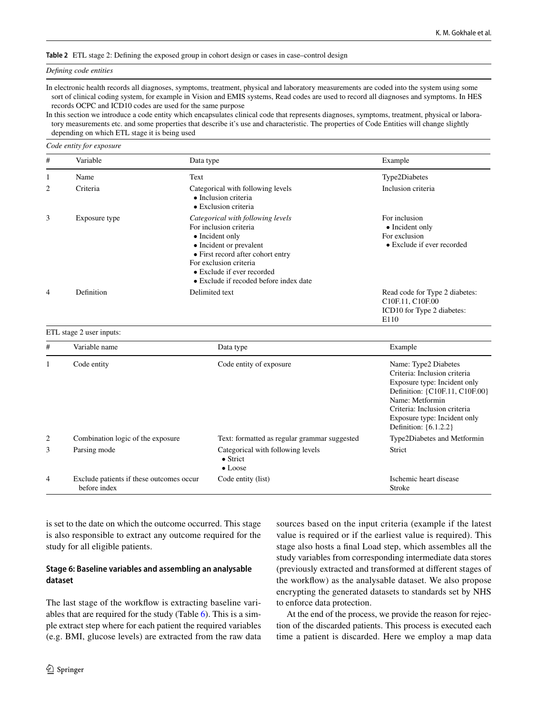#### <span id="page-6-0"></span>**Table 2** ETL stage 2: Defning the exposed group in cohort design or cases in case–control design

#### *Defning code entities*

In electronic health records all diagnoses, symptoms, treatment, physical and laboratory measurements are coded into the system using some sort of clinical coding system, for example in Vision and EMIS systems, Read codes are used to record all diagnoses and symptoms. In HES records OCPC and ICD10 codes are used for the same purpose

In this section we introduce a code entity which encapsulates clinical code that represents diagnoses, symptoms, treatment, physical or laboratory measurements etc. and some properties that describe it's use and characteristic. The properties of Code Entities will change slightly depending on which ETL stage it is being used

#### *Code entity for exposure*

| # | Variable      | Data type                                                                                                                                                                                                                                                | Example                                                                                                           |
|---|---------------|----------------------------------------------------------------------------------------------------------------------------------------------------------------------------------------------------------------------------------------------------------|-------------------------------------------------------------------------------------------------------------------|
| 1 | Name          | Text                                                                                                                                                                                                                                                     | Type2Diabetes                                                                                                     |
| 2 | Criteria      | Categorical with following levels<br>• Inclusion criteria<br>$\bullet$ Exclusion criteria                                                                                                                                                                | Inclusion criteria                                                                                                |
| 3 | Exposure type | Categorical with following levels<br>For inclusion criteria<br>• Incident only<br>• Incident or prevalent<br>• First record after cohort entry<br>For exclusion criteria<br>• Exclude if ever recorded<br>$\bullet$ Exclude if recoded before index date | For inclusion<br>• Incident only<br>For exclusion<br>$\bullet$ Exclude if ever recorded                           |
| 4 | Definition    | Delimited text                                                                                                                                                                                                                                           | Read code for Type 2 diabetes:<br>C <sub>10F.11</sub> , C <sub>10F.00</sub><br>ICD10 for Type 2 diabetes:<br>E110 |

#### ETL stage 2 user inputs:

| #              | Variable name                                            | Data type                                                                | Example                                                                                                                                                                                                                            |
|----------------|----------------------------------------------------------|--------------------------------------------------------------------------|------------------------------------------------------------------------------------------------------------------------------------------------------------------------------------------------------------------------------------|
|                | Code entity                                              | Code entity of exposure                                                  | Name: Type2 Diabetes<br>Criteria: Inclusion criteria<br>Exposure type: Incident only<br>Definition: {C10F.11, C10F.00}<br>Name: Metformin<br>Criteria: Inclusion criteria<br>Exposure type: Incident only<br>Definition: {6.1.2.2} |
| 2              | Combination logic of the exposure                        | Text: formatted as regular grammar suggested                             | Type2Diabetes and Metformin                                                                                                                                                                                                        |
| 3              | Parsing mode                                             | Categorical with following levels<br>$\bullet$ Strict<br>$\bullet$ Loose | Strict                                                                                                                                                                                                                             |
| $\overline{4}$ | Exclude patients if these outcomes occur<br>before index | Code entity (list)                                                       | Ischemic heart disease<br>Stroke                                                                                                                                                                                                   |

is set to the date on which the outcome occurred. This stage is also responsible to extract any outcome required for the study for all eligible patients.

# **Stage 6: Baseline variables and assembling an analysable dataset**

The last stage of the workflow is extracting baseline variables that are required for the study (Table [6](#page-11-0)). This is a simple extract step where for each patient the required variables (e.g. BMI, glucose levels) are extracted from the raw data

stage also hosts a fnal Load step, which assembles all the study variables from corresponding intermediate data stores (previously extracted and transformed at diferent stages of the workfow) as the analysable dataset. We also propose encrypting the generated datasets to standards set by NHS to enforce data protection. At the end of the process, we provide the reason for rejection of the discarded patients. This process is executed each

sources based on the input criteria (example if the latest value is required or if the earliest value is required). This

time a patient is discarded. Here we employ a map data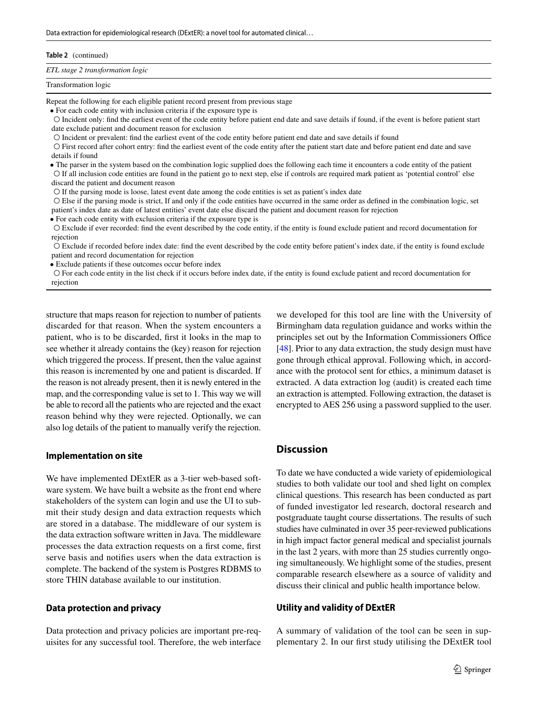| Table 2 (continued)              |  |
|----------------------------------|--|
| ETL stage 2 transformation logic |  |
| Transformation logic             |  |

Repeat the following for each eligible patient record present from previous stage

• For each code entity with inclusion criteria if the exposure type is

 ○ Incident only: fnd the earliest event of the code entity before patient end date and save details if found, if the event is before patient start date exclude patient and document reason for exclusion

○ Incident or prevalent: fnd the earliest event of the code entity before patient end date and save details if found

 ○ First record after cohort entry: fnd the earliest event of the code entity after the patient start date and before patient end date and save details if found

 • The parser in the system based on the combination logic supplied does the following each time it encounters a code entity of the patient ○ If all inclusion code entities are found in the patient go to next step, else if controls are required mark patient as 'potential control' else discard the patient and document reason

○ If the parsing mode is loose, latest event date among the code entities is set as patient's index date

 ○ Else if the parsing mode is strict, If and only if the code entities have occurred in the same order as defned in the combination logic, set patient's index date as date of latest entities' event date else discard the patient and document reason for rejection

• For each code entity with exclusion criteria if the exposure type is

 ○ Exclude if ever recorded: fnd the event described by the code entity, if the entity is found exclude patient and record documentation for rejection

 ○ Exclude if recorded before index date: fnd the event described by the code entity before patient's index date, if the entity is found exclude patient and record documentation for rejection

• Exclude patients if these outcomes occur before index

 ○ For each code entity in the list check if it occurs before index date, if the entity is found exclude patient and record documentation for rejection

structure that maps reason for rejection to number of patients discarded for that reason. When the system encounters a patient, who is to be discarded, frst it looks in the map to see whether it already contains the (key) reason for rejection which triggered the process. If present, then the value against this reason is incremented by one and patient is discarded. If the reason is not already present, then it is newly entered in the map, and the corresponding value is set to 1. This way we will be able to record all the patients who are rejected and the exact reason behind why they were rejected. Optionally, we can also log details of the patient to manually verify the rejection.

#### **Implementation on site**

We have implemented DExtER as a 3-tier web-based software system. We have built a website as the front end where stakeholders of the system can login and use the UI to submit their study design and data extraction requests which are stored in a database. The middleware of our system is the data extraction software written in Java. The middleware processes the data extraction requests on a frst come, frst serve basis and notifes users when the data extraction is complete. The backend of the system is Postgres RDBMS to store THIN database available to our institution.

# **Data protection and privacy**

Data protection and privacy policies are important pre-requisites for any successful tool. Therefore, the web interface

we developed for this tool are line with the University of Birmingham data regulation guidance and works within the principles set out by the Information Commissioners Office [\[48](#page-13-22)]. Prior to any data extraction, the study design must have gone through ethical approval. Following which, in accordance with the protocol sent for ethics, a minimum dataset is extracted. A data extraction log (audit) is created each time an extraction is attempted. Following extraction, the dataset is encrypted to AES 256 using a password supplied to the user.

# **Discussion**

To date we have conducted a wide variety of epidemiological studies to both validate our tool and shed light on complex clinical questions. This research has been conducted as part of funded investigator led research, doctoral research and postgraduate taught course dissertations. The results of such studies have culminated in over 35 peer-reviewed publications in high impact factor general medical and specialist journals in the last 2 years, with more than 25 studies currently ongoing simultaneously. We highlight some of the studies, present comparable research elsewhere as a source of validity and discuss their clinical and public health importance below.

# **Utility and validity of DExtER**

A summary of validation of the tool can be seen in supplementary 2. In our frst study utilising the DExtER tool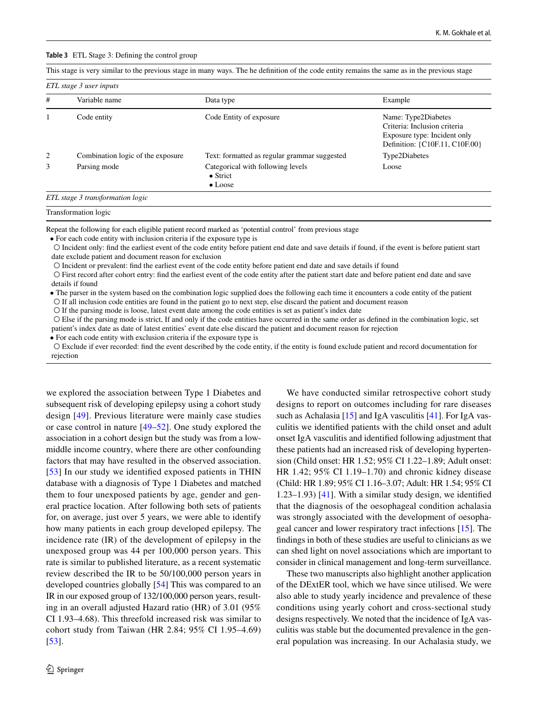#### <span id="page-8-0"></span>**Table 3** ETL Stage 3: Defning the control group

This stage is very similar to the previous stage in many ways. The he defnition of the code entity remains the same as in the previous stage

| # | Variable name                     | Data type                                                                | Example                                                                                                               |
|---|-----------------------------------|--------------------------------------------------------------------------|-----------------------------------------------------------------------------------------------------------------------|
|   | Code entity                       | Code Entity of exposure                                                  | Name: Type2Diabetes<br>Criteria: Inclusion criteria<br>Exposure type: Incident only<br>Definition: {C10F.11, C10F.00} |
| 2 | Combination logic of the exposure | Text: formatted as regular grammar suggested                             | Type2Diabetes                                                                                                         |
| 3 | Parsing mode                      | Categorical with following levels<br>$\bullet$ Strict<br>$\bullet$ Loose | Loose                                                                                                                 |

#### Transformation logic

Repeat the following for each eligible patient record marked as 'potential control' from previous stage

• For each code entity with inclusion criteria if the exposure type is

 ○ Incident only: fnd the earliest event of the code entity before patient end date and save details if found, if the event is before patient start date exclude patient and document reason for exclusion

○ Incident or prevalent: fnd the earliest event of the code entity before patient end date and save details if found

 ○ First record after cohort entry: fnd the earliest event of the code entity after the patient start date and before patient end date and save details if found

 • The parser in the system based on the combination logic supplied does the following each time it encounters a code entity of the patient ○ If all inclusion code entities are found in the patient go to next step, else discard the patient and document reason

○ If the parsing mode is loose, latest event date among the code entities is set as patient's index date

 ○ Else if the parsing mode is strict, If and only if the code entities have occurred in the same order as defned in the combination logic, set patient's index date as date of latest entities' event date else discard the patient and document reason for rejection

• For each code entity with exclusion criteria if the exposure type is

 ○ Exclude if ever recorded: fnd the event described by the code entity, if the entity is found exclude patient and record documentation for rejection

we explored the association between Type 1 Diabetes and subsequent risk of developing epilepsy using a cohort study design [[49](#page-13-23)]. Previous literature were mainly case studies or case control in nature [\[49](#page-13-23)–[52\]](#page-13-24). One study explored the association in a cohort design but the study was from a lowmiddle income country, where there are other confounding factors that may have resulted in the observed association. [\[53\]](#page-13-25) In our study we identified exposed patients in THIN database with a diagnosis of Type 1 Diabetes and matched them to four unexposed patients by age, gender and general practice location. After following both sets of patients for, on average, just over 5 years, we were able to identify how many patients in each group developed epilepsy. The incidence rate (IR) of the development of epilepsy in the unexposed group was 44 per 100,000 person years. This rate is similar to published literature, as a recent systematic review described the IR to be 50/100,000 person years in developed countries globally [[54](#page-13-26)] This was compared to an IR in our exposed group of 132/100,000 person years, resulting in an overall adjusted Hazard ratio (HR) of 3.01 (95% CI 1.93–4.68). This threefold increased risk was similar to cohort study from Taiwan (HR 2.84; 95% CI 1.95–4.69) [\[53\]](#page-13-25).

We have conducted similar retrospective cohort study designs to report on outcomes including for rare diseases such as Achalasia [\[15](#page-12-15)] and IgA vasculitis [[41\]](#page-13-27). For IgA vasculitis we identifed patients with the child onset and adult onset IgA vasculitis and identifed following adjustment that these patients had an increased risk of developing hypertension (Child onset: HR 1.52; 95% CI 1.22–1.89; Adult onset: HR 1.42; 95% CI 1.19–1.70) and chronic kidney disease (Child: HR 1.89; 95% CI 1.16–3.07; Adult: HR 1.54; 95% CI 1.23–1.93) [[41](#page-13-27)]. With a similar study design, we identifed that the diagnosis of the oesophageal condition achalasia was strongly associated with the development of oesophageal cancer and lower respiratory tract infections [[15](#page-12-15)]. The fndings in both of these studies are useful to clinicians as we can shed light on novel associations which are important to consider in clinical management and long-term surveillance.

These two manuscripts also highlight another application of the DExtER tool, which we have since utilised. We were also able to study yearly incidence and prevalence of these conditions using yearly cohort and cross-sectional study designs respectively. We noted that the incidence of IgA vasculitis was stable but the documented prevalence in the general population was increasing. In our Achalasia study, we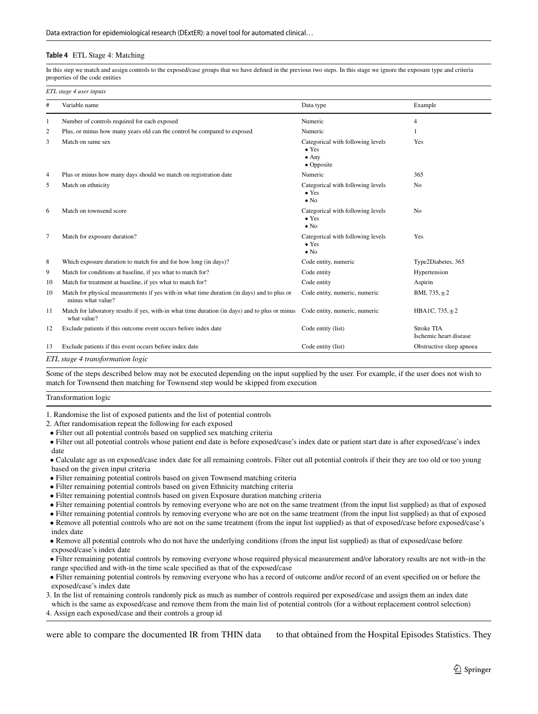#### <span id="page-9-0"></span>**Table 4** ETL Stage 4: Matching

In this step we match and assign controls to the exposed/case groups that we have defned in the previous two steps. In this stage we ignore the exposure type and criteria properties of the code entities

|                | ETL stage 4 user inputs                                                                                         |                                                                                   |                                             |  |  |
|----------------|-----------------------------------------------------------------------------------------------------------------|-----------------------------------------------------------------------------------|---------------------------------------------|--|--|
| $\#$           | Variable name                                                                                                   | Data type                                                                         | Example                                     |  |  |
| 1              | Number of controls required for each exposed                                                                    | Numeric                                                                           | $\overline{4}$                              |  |  |
| $\overline{c}$ | Plus, or minus how many years old can the control be compared to exposed                                        | Numeric                                                                           | 1                                           |  |  |
| 3              | Match on same sex                                                                                               | Categorical with following levels<br>$\bullet$ Yes<br>$\bullet$ Any<br>• Opposite | Yes                                         |  |  |
| 4              | Plus or minus how many days should we match on registration date                                                | Numeric                                                                           | 365                                         |  |  |
| 5              | Match on ethnicity                                                                                              | Categorical with following levels<br>$\bullet$ Yes<br>$\bullet$ No                | N <sub>o</sub>                              |  |  |
| 6              | Match on townsend score                                                                                         | Categorical with following levels<br>$\bullet$ Yes<br>$\bullet$ No                | N <sub>0</sub>                              |  |  |
| 7              | Match for exposure duration?                                                                                    | Categorical with following levels<br>$\bullet$ Yes<br>$\bullet$ No                | Yes                                         |  |  |
| 8              | Which exposure duration to match for and for how long (in days)?                                                | Code entity, numeric                                                              | Type2Diabetes, 365                          |  |  |
| 9              | Match for conditions at baseline, if yes what to match for?                                                     | Code entity                                                                       | Hypertension                                |  |  |
| 10             | Match for treatment at baseline, if yes what to match for?                                                      | Code entity                                                                       | Aspirin                                     |  |  |
| 10             | Match for physical measurements if yes with-in what time duration (in days) and to plus or<br>minus what value? | Code entity, numeric, numeric                                                     | BMI, $735, \pm 2$                           |  |  |
| 11             | Match for laboratory results if yes, with-in what time duration (in days) and to plus or minus<br>what value?   | Code entity, numeric, numeric                                                     | HBA1C, $735, \pm 2$                         |  |  |
| 12             | Exclude patients if this outcome event occurs before index date                                                 | Code entity (list)                                                                | <b>Stroke TIA</b><br>Ischemic heart disease |  |  |
| 13             | Exclude patients if this event occurs before index date                                                         | Code entity (list)                                                                | Obstructive sleep apnoea                    |  |  |

Some of the steps described below may not be executed depending on the input supplied by the user. For example, if the user does not wish to match for Townsend then matching for Townsend step would be skipped from execution

Transformation logic

1. Randomise the list of exposed patients and the list of potential controls

2. After randomisation repeat the following for each exposed

• Filter out all potential controls based on supplied sex matching criteria

 • Filter out all potential controls whose patient end date is before exposed/case's index date or patient start date is after exposed/case's index date

 • Calculate age as on exposed/case index date for all remaining controls. Filter out all potential controls if their they are too old or too young based on the given input criteria

- Filter remaining potential controls based on given Townsend matching criteria
- Filter remaining potential controls based on given Ethnicity matching criteria
- Filter remaining potential controls based on given Exposure duration matching criteria
- Filter remaining potential controls by removing everyone who are not on the same treatment (from the input list supplied) as that of exposed

• Filter remaining potential controls by removing everyone who are not on the same treatment (from the input list supplied) as that of exposed

 • Remove all potential controls who are not on the same treatment (from the input list supplied) as that of exposed/case before exposed/case's index date

 • Remove all potential controls who do not have the underlying conditions (from the input list supplied) as that of exposed/case before exposed/case's index date

- • Filter remaining potential controls by removing everyone whose required physical measurement and/or laboratory results are not with-in the range specifed and with-in the time scale specifed as that of the exposed/case
- • Filter remaining potential controls by removing everyone who has a record of outcome and/or record of an event specifed on or before the exposed/case's index date

3. In the list of remaining controls randomly pick as much as number of controls required per exposed/case and assign them an index date which is the same as exposed/case and remove them from the main list of potential controls (for a without replacement control selection)

4. Assign each exposed/case and their controls a group id

were able to compare the documented IR from THIN data to that obtained from the Hospital Episodes Statistics. They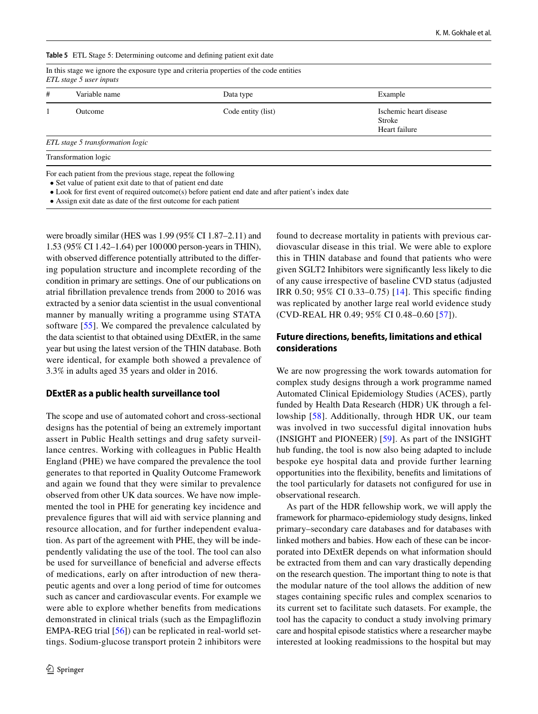<span id="page-10-0"></span>**Table 5** ETL Stage 5: Determining outcome and defning patient exit date

| # | Variable name                    | Data type          | Example                                           |
|---|----------------------------------|--------------------|---------------------------------------------------|
|   | Outcome                          | Code entity (list) | Ischemic heart disease<br>Stroke<br>Heart failure |
|   | ETL stage 5 transformation logic |                    |                                                   |
|   | Transformation logic             |                    |                                                   |

• Look for frst event of required outcome(s) before patient end date and after patient's index date

• Assign exit date as date of the frst outcome for each patient

were broadly similar (HES was 1.99 (95% CI 1.87–2.11) and 1.53 (95% CI 1.42–1.64) per 100000 person-years in THIN), with observed diference potentially attributed to the difering population structure and incomplete recording of the condition in primary are settings. One of our publications on atrial fbrillation prevalence trends from 2000 to 2016 was extracted by a senior data scientist in the usual conventional manner by manually writing a programme using STATA software [[55\]](#page-13-28). We compared the prevalence calculated by the data scientist to that obtained using DExtER, in the same year but using the latest version of the THIN database. Both were identical, for example both showed a prevalence of 3.3% in adults aged 35 years and older in 2016.

#### **DExtER as a public health surveillance tool**

The scope and use of automated cohort and cross-sectional designs has the potential of being an extremely important assert in Public Health settings and drug safety surveillance centres. Working with colleagues in Public Health England (PHE) we have compared the prevalence the tool generates to that reported in Quality Outcome Framework and again we found that they were similar to prevalence observed from other UK data sources. We have now implemented the tool in PHE for generating key incidence and prevalence fgures that will aid with service planning and resource allocation, and for further independent evaluation. As part of the agreement with PHE, they will be independently validating the use of the tool. The tool can also be used for surveillance of benefcial and adverse efects of medications, early on after introduction of new therapeutic agents and over a long period of time for outcomes such as cancer and cardiovascular events. For example we were able to explore whether benefts from medications demonstrated in clinical trials (such as the Empaglifozin EMPA-REG trial [[56\]](#page-13-29)) can be replicated in real-world settings. Sodium-glucose transport protein 2 inhibitors were found to decrease mortality in patients with previous cardiovascular disease in this trial. We were able to explore this in THIN database and found that patients who were given SGLT2 Inhibitors were signifcantly less likely to die of any cause irrespective of baseline CVD status (adjusted IRR 0.50; 95% CI 0.33–0.75) [[14](#page-12-16)]. This specifc fnding was replicated by another large real world evidence study (CVD-REAL HR 0.49; 95% CI 0.48–0.60 [\[57\]](#page-13-30)).

# **Future directions, benefts, limitations and ethical considerations**

We are now progressing the work towards automation for complex study designs through a work programme named Automated Clinical Epidemiology Studies (ACES), partly funded by Health Data Research (HDR) UK through a fellowship [[58](#page-14-0)]. Additionally, through HDR UK, our team was involved in two successful digital innovation hubs (INSIGHT and PIONEER) [[59](#page-14-1)]. As part of the INSIGHT hub funding, the tool is now also being adapted to include bespoke eye hospital data and provide further learning opportunities into the fexibility, benefts and limitations of the tool particularly for datasets not confgured for use in observational research.

As part of the HDR fellowship work, we will apply the framework for pharmaco-epidemiology study designs, linked primary–secondary care databases and for databases with linked mothers and babies. How each of these can be incorporated into DExtER depends on what information should be extracted from them and can vary drastically depending on the research question. The important thing to note is that the modular nature of the tool allows the addition of new stages containing specifc rules and complex scenarios to its current set to facilitate such datasets. For example, the tool has the capacity to conduct a study involving primary care and hospital episode statistics where a researcher maybe interested at looking readmissions to the hospital but may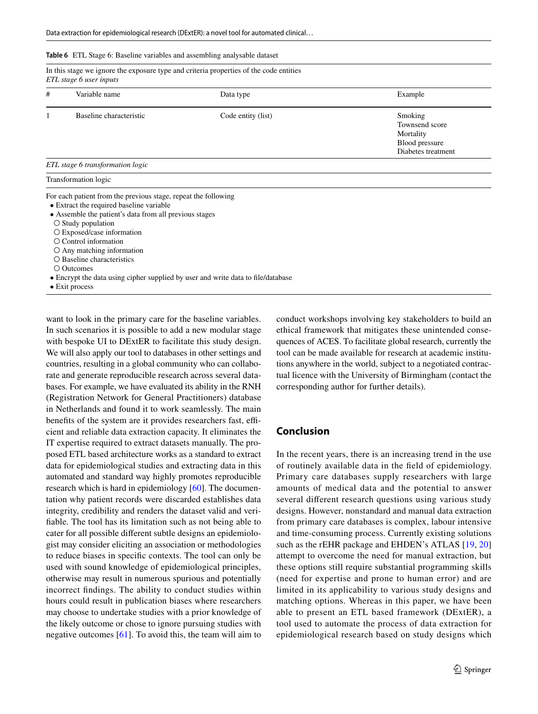<span id="page-11-0"></span>

| <b>Table 6</b> ETL Stage 6: Baseline variables and assembling analysable dataset |  |
|----------------------------------------------------------------------------------|--|
|----------------------------------------------------------------------------------|--|

|   | In this stage we ignore the exposure type and criteria properties of the code entities<br>ETL stage 6 user inputs |                    |                                                                                |  |  |
|---|-------------------------------------------------------------------------------------------------------------------|--------------------|--------------------------------------------------------------------------------|--|--|
| # | Variable name                                                                                                     | Data type          | Example                                                                        |  |  |
|   | Baseline characteristic                                                                                           | Code entity (list) | Smoking<br>Townsend score<br>Mortality<br>Blood pressure<br>Diabetes treatment |  |  |
|   | ETL stage 6 transformation logic                                                                                  |                    |                                                                                |  |  |
|   | Transformation logic                                                                                              |                    |                                                                                |  |  |
|   | For each patient from the previous stage, repeat the following<br>• Extract the required baseline variable        |                    |                                                                                |  |  |

- Assemble the patient's data from all previous stages
- Study population
- Exposed/case information
- Control information
- Any matching information
- Baseline characteristics

○ Outcomes

• Encrypt the data using cipher supplied by user and write data to fle/database

• Exit process

want to look in the primary care for the baseline variables. In such scenarios it is possible to add a new modular stage with bespoke UI to DExtER to facilitate this study design. We will also apply our tool to databases in other settings and countries, resulting in a global community who can collaborate and generate reproducible research across several databases. For example, we have evaluated its ability in the RNH (Registration Network for General Practitioners) database in Netherlands and found it to work seamlessly. The main benefits of the system are it provides researchers fast, efficient and reliable data extraction capacity. It eliminates the IT expertise required to extract datasets manually. The proposed ETL based architecture works as a standard to extract data for epidemiological studies and extracting data in this automated and standard way highly promotes reproducible research which is hard in epidemiology [\[60](#page-14-2)]. The documentation why patient records were discarded establishes data integrity, credibility and renders the dataset valid and verifable. The tool has its limitation such as not being able to cater for all possible diferent subtle designs an epidemiologist may consider eliciting an association or methodologies to reduce biases in specifc contexts. The tool can only be used with sound knowledge of epidemiological principles, otherwise may result in numerous spurious and potentially incorrect fndings. The ability to conduct studies within hours could result in publication biases where researchers may choose to undertake studies with a prior knowledge of the likely outcome or chose to ignore pursuing studies with negative outcomes [\[61](#page-14-3)]. To avoid this, the team will aim to conduct workshops involving key stakeholders to build an ethical framework that mitigates these unintended consequences of ACES. To facilitate global research, currently the tool can be made available for research at academic institutions anywhere in the world, subject to a negotiated contractual licence with the University of Birmingham (contact the corresponding author for further details).

# **Conclusion**

In the recent years, there is an increasing trend in the use of routinely available data in the feld of epidemiology. Primary care databases supply researchers with large amounts of medical data and the potential to answer several diferent research questions using various study designs. However, nonstandard and manual data extraction from primary care databases is complex, labour intensive and time-consuming process. Currently existing solutions such as the rEHR package and EHDEN's ATLAS [\[19,](#page-12-14) [20\]](#page-13-0) attempt to overcome the need for manual extraction, but these options still require substantial programming skills (need for expertise and prone to human error) and are limited in its applicability to various study designs and matching options. Whereas in this paper, we have been able to present an ETL based framework (DExtER), a tool used to automate the process of data extraction for epidemiological research based on study designs which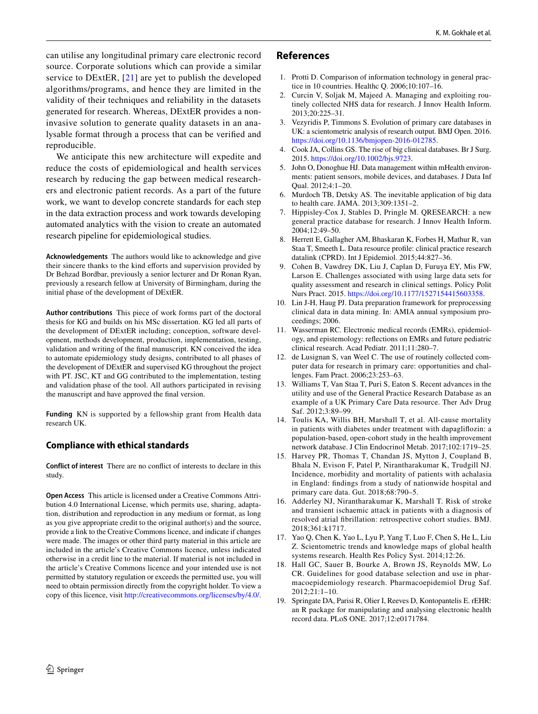can utilise any longitudinal primary care electronic record source. Corporate solutions which can provide a similar service to DExtER, [[21](#page-13-1)] are yet to publish the developed algorithms/programs, and hence they are limited in the validity of their techniques and reliability in the datasets generated for research. Whereas, DExtER provides a noninvasive solution to generate quality datasets in an analysable format through a process that can be verifed and reproducible.

We anticipate this new architecture will expedite and reduce the costs of epidemiological and health services research by reducing the gap between medical researchers and electronic patient records. As a part of the future work, we want to develop concrete standards for each step in the data extraction process and work towards developing automated analytics with the vision to create an automated research pipeline for epidemiological studies.

**Acknowledgements** The authors would like to acknowledge and give their sincere thanks to the kind efforts and supervision provided by Dr Behzad Bordbar, previously a senior lecturer and Dr Ronan Ryan, previously a research fellow at University of Birmingham, during the initial phase of the development of DExtER.

**Author contributions** This piece of work forms part of the doctoral thesis for KG and builds on his MSc dissertation. KG led all parts of the development of DExtER including; conception, software development, methods development, production, implementation, testing, validation and writing of the fnal manuscript. KN conceived the idea to automate epidemiology study designs, contributed to all phases of the development of DExtER and supervised KG throughout the project with PT. JSC, KT and GG contributed to the implementation, testing and validation phase of the tool. All authors participated in revising the manuscript and have approved the fnal version.

**Funding** KN is supported by a fellowship grant from Health data research UK.

# **Compliance with ethical standards**

**Conflict of interest** There are no confict of interests to declare in this study.

**Open Access** This article is licensed under a Creative Commons Attribution 4.0 International License, which permits use, sharing, adaptation, distribution and reproduction in any medium or format, as long as you give appropriate credit to the original author(s) and the source, provide a link to the Creative Commons licence, and indicate if changes were made. The images or other third party material in this article are included in the article's Creative Commons licence, unless indicated otherwise in a credit line to the material. If material is not included in the article's Creative Commons licence and your intended use is not permitted by statutory regulation or exceeds the permitted use, you will need to obtain permission directly from the copyright holder. To view a copy of this licence, visit <http://creativecommons.org/licenses/by/4.0/>.

# **References**

- <span id="page-12-0"></span>1. Protti D. Comparison of information technology in general practice in 10 countries. Healthc Q. 2006;10:107–16.
- <span id="page-12-1"></span>2. Curcin V, Soljak M, Majeed A. Managing and exploiting routinely collected NHS data for research. J Innov Health Inform. 2013;20:225–31.
- <span id="page-12-2"></span>3. Vezyridis P, Timmons S. Evolution of primary care databases in UK: a scientometric analysis of research output. BMJ Open. 2016. <https://doi.org/10.1136/bmjopen-2016-012785>.
- <span id="page-12-3"></span>4. Cook JA, Collins GS. The rise of big clinical databases. Br J Surg. 2015. <https://doi.org/10.1002/bjs.9723>.
- <span id="page-12-4"></span>5. John O, Donoghue HJ. Data management within mHealth environments: patient sensors, mobile devices, and databases. J Data Inf Qual. 2012;4:1–20.
- <span id="page-12-5"></span>6. Murdoch TB, Detsky AS. The inevitable application of big data to health care. JAMA. 2013;309:1351–2.
- <span id="page-12-6"></span>7. Hippisley-Cox J, Stables D, Pringle M. QRESEARCH: a new general practice database for research. J Innov Health Inform. 2004;12:49–50.
- <span id="page-12-7"></span>8. Herrett E, Gallagher AM, Bhaskaran K, Forbes H, Mathur R, van Staa T, Smeeth L. Data resource profle: clinical practice research datalink (CPRD). Int J Epidemiol. 2015;44:827–36.
- <span id="page-12-8"></span>9. Cohen B, Vawdrey DK, Liu J, Caplan D, Furuya EY, Mis FW, Larson E. Challenges associated with using large data sets for quality assessment and research in clinical settings. Policy Polit Nurs Pract. 2015. [https://doi.org/10.1177/1527154415603358.](https://doi.org/10.1177/1527154415603358)
- 10. Lin J-H, Haug PJ. Data preparation framework for preprocessing clinical data in data mining. In: AMIA annual symposium proceedings; 2006.
- <span id="page-12-9"></span>11. Wasserman RC. Electronic medical records (EMRs), epidemiology, and epistemology: refections on EMRs and future pediatric clinical research. Acad Pediatr. 2011;11:280–7.
- <span id="page-12-10"></span>12. de Lusignan S, van Weel C. The use of routinely collected computer data for research in primary care: opportunities and challenges. Fam Pract. 2006;23:253–63.
- 13. Williams T, Van Staa T, Puri S, Eaton S. Recent advances in the utility and use of the General Practice Research Database as an example of a UK Primary Care Data resource. Ther Adv Drug Saf. 2012;3:89–99.
- <span id="page-12-16"></span>14. Toulis KA, Willis BH, Marshall T, et al. All-cause mortality in patients with diabetes under treatment with dapaglifozin: a population-based, open-cohort study in the health improvement network database. J Clin Endocrinol Metab. 2017;102:1719–25.
- <span id="page-12-15"></span>15. Harvey PR, Thomas T, Chandan JS, Mytton J, Coupland B, Bhala N, Evison F, Patel P, Nirantharakumar K, Trudgill NJ. Incidence, morbidity and mortality of patients with achalasia in England: fndings from a study of nationwide hospital and primary care data. Gut. 2018;68:790–5.
- <span id="page-12-11"></span>16. Adderley NJ, Nirantharakumar K, Marshall T. Risk of stroke and transient ischaemic attack in patients with a diagnosis of resolved atrial fbrillation: retrospective cohort studies. BMJ. 2018;361:k1717.
- <span id="page-12-12"></span>17. Yao Q, Chen K, Yao L, Lyu P, Yang T, Luo F, Chen S, He L, Liu Z. Scientometric trends and knowledge maps of global health systems research. Health Res Policy Syst. 2014;12:26.
- <span id="page-12-13"></span>18. Hall GC, Sauer B, Bourke A, Brown JS, Reynolds MW, Lo CR. Guidelines for good database selection and use in pharmacoepidemiology research. Pharmacoepidemiol Drug Saf. 2012;21:1–10.
- <span id="page-12-14"></span>19. Springate DA, Parisi R, Olier I, Reeves D, Kontopantelis E. rEHR: an R package for manipulating and analysing electronic health record data. PLoS ONE. 2017;12:e0171784.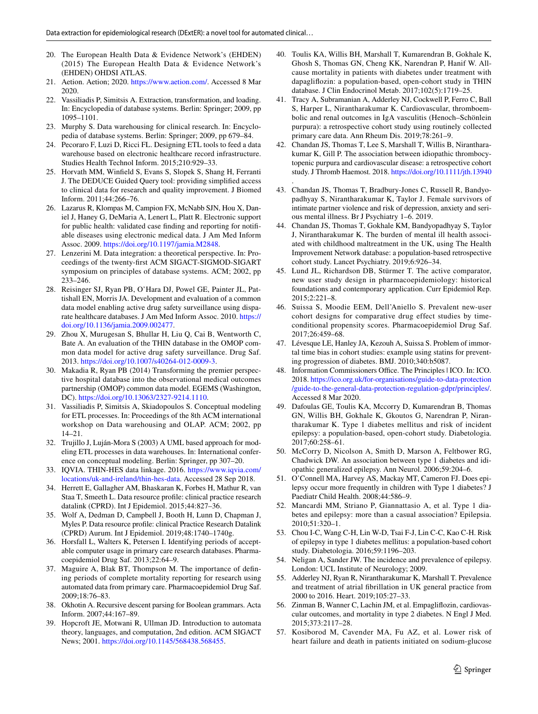- <span id="page-13-0"></span>20. The European Health Data & Evidence Network's (EHDEN) (2015) The European Health Data & Evidence Network's (EHDEN) OHDSI ATLAS.
- <span id="page-13-1"></span>21. Aetion. Aetion; 2020. <https://www.aetion.com/>. Accessed 8 Mar 2020.
- <span id="page-13-2"></span>22. Vassiliadis P, Simitsis A. Extraction, transformation, and loading. In: Encyclopedia of database systems. Berlin: Springer; 2009, pp 1095–1101.
- <span id="page-13-3"></span>23. Murphy S. Data warehousing for clinical research. In: Encyclopedia of database systems. Berlin: Springer; 2009, pp 679–84.
- 24. Pecoraro F, Luzi D, Ricci FL. Designing ETL tools to feed a data warehouse based on electronic healthcare record infrastructure. Studies Health Technol Inform. 2015;210:929–33.
- 25. Horvath MM, Winfeld S, Evans S, Slopek S, Shang H, Ferranti J. The DEDUCE Guided Query tool: providing simplifed access to clinical data for research and quality improvement. J Biomed Inform. 2011;44:266–76.
- <span id="page-13-4"></span>26. Lazarus R, Klompas M, Campion FX, McNabb SJN, Hou X, Daniel J, Haney G, DeMaria A, Lenert L, Platt R. Electronic support for public health: validated case fnding and reporting for notifable diseases using electronic medical data. J Am Med Inform Assoc. 2009. [https://doi.org/10.1197/jamia.M2848.](https://doi.org/10.1197/jamia.M2848)
- <span id="page-13-5"></span>27. Lenzerini M. Data integration: a theoretical perspective. In: Proceedings of the twenty-frst ACM SIGACT-SIGMOD-SIGART symposium on principles of database systems. ACM; 2002, pp 233–246.
- <span id="page-13-6"></span>28. Reisinger SJ, Ryan PB, O'Hara DJ, Powel GE, Painter JL, Pattishall EN, Morris JA. Development and evaluation of a common data model enabling active drug safety surveillance using disparate healthcare databases. J Am Med Inform Assoc. 2010. [https://](https://doi.org/10.1136/jamia.2009.002477) [doi.org/10.1136/jamia.2009.002477.](https://doi.org/10.1136/jamia.2009.002477)
- 29. Zhou X, Murugesan S, Bhullar H, Liu Q, Cai B, Wentworth C, Bate A. An evaluation of the THIN database in the OMOP common data model for active drug safety surveillance. Drug Saf. 2013.<https://doi.org/10.1007/s40264-012-0009-3>.
- <span id="page-13-7"></span>30. Makadia R, Ryan PB (2014) Transforming the premier perspective hospital database into the observational medical outcomes partnership (OMOP) common data model. EGEMS (Washington, DC).<https://doi.org/10.13063/2327-9214.1110>.
- <span id="page-13-8"></span>31. Vassiliadis P, Simitsis A, Skiadopoulos S. Conceptual modeling for ETL processes. In: Proceedings of the 8th ACM international workshop on Data warehousing and OLAP. ACM; 2002, pp 14–21.
- <span id="page-13-9"></span>32. Trujillo J, Luján-Mora S (2003) A UML based approach for modeling ETL processes in data warehouses. In: International conference on conceptual modeling. Berlin: Springer, pp 307–20.
- <span id="page-13-10"></span>33. IQVIA. THIN-HES data linkage. 2016. [https://www.iqvia.com/](https://www.iqvia.com/locations/uk-and-ireland/thin-hes-data) [locations/uk-and-ireland/thin-hes-data](https://www.iqvia.com/locations/uk-and-ireland/thin-hes-data). Accessed 28 Sep 2018.
- <span id="page-13-11"></span>34. Herrett E, Gallagher AM, Bhaskaran K, Forbes H, Mathur R, van Staa T, Smeeth L. Data resource profle: clinical practice research datalink (CPRD). Int J Epidemiol. 2015;44:827–36.
- <span id="page-13-12"></span>35. Wolf A, Dedman D, Campbell J, Booth H, Lunn D, Chapman J, Myles P. Data resource profle: clinical Practice Research Datalink (CPRD) Aurum. Int J Epidemiol. 2019;48:1740–1740g.
- <span id="page-13-13"></span>36. Horsfall L, Walters K, Petersen I. Identifying periods of acceptable computer usage in primary care research databases. Pharmacoepidemiol Drug Saf. 2013;22:64–9.
- <span id="page-13-14"></span>37. Maguire A, Blak BT, Thompson M. The importance of defning periods of complete mortality reporting for research using automated data from primary care. Pharmacoepidemiol Drug Saf. 2009;18:76–83.
- <span id="page-13-15"></span>38. Okhotin A. Recursive descent parsing for Boolean grammars. Acta Inform. 2007;44:167–89.
- <span id="page-13-16"></span>39. Hopcroft JE, Motwani R, Ullman JD. Introduction to automata theory, languages, and computation, 2nd edition. ACM SIGACT News; 2001. [https://doi.org/10.1145/568438.568455.](https://doi.org/10.1145/568438.568455)
- <span id="page-13-17"></span>40. Toulis KA, Willis BH, Marshall T, Kumarendran B, Gokhale K, Ghosh S, Thomas GN, Cheng KK, Narendran P, Hanif W. Allcause mortality in patients with diabetes under treatment with dapaglifozin: a population-based, open-cohort study in THIN database. J Clin Endocrinol Metab. 2017;102(5):1719–25.
- <span id="page-13-27"></span>41. Tracy A, Subramanian A, Adderley NJ, Cockwell P, Ferro C, Ball S, Harper L, Nirantharakumar K. Cardiovascular, thromboembolic and renal outcomes in IgA vasculitis (Henoch–Schönlein purpura): a retrospective cohort study using routinely collected primary care data. Ann Rheum Dis. 2019;78:261–9.
- 42. Chandan JS, Thomas T, Lee S, Marshall T, Willis B, Nirantharakumar K, Gill P. The association between idiopathic thrombocytopenic purpura and cardiovascular disease: a retrospective cohort study. J Thromb Haemost. 2018.<https://doi.org/10.1111/jth.13940>
- . 43. Chandan JS, Thomas T, Bradbury-Jones C, Russell R, Bandyopadhyay S, Nirantharakumar K, Taylor J. Female survivors of intimate partner violence and risk of depression, anxiety and serious mental illness. Br J Psychiatry 1–6. 2019.
- <span id="page-13-18"></span>44. Chandan JS, Thomas T, Gokhale KM, Bandyopadhyay S, Taylor J, Nirantharakumar K. The burden of mental ill health associated with childhood maltreatment in the UK, using The Health Improvement Network database: a population-based retrospective cohort study. Lancet Psychiatry. 2019;6:926–34.
- <span id="page-13-19"></span>45. Lund JL, Richardson DB, Stürmer T. The active comparator, new user study design in pharmacoepidemiology: historical foundations and contemporary application. Curr Epidemiol Rep. 2015;2:221–8.
- <span id="page-13-20"></span>46. Suissa S, Moodie EEM, Dell'Aniello S. Prevalent new-user cohort designs for comparative drug effect studies by timeconditional propensity scores. Pharmacoepidemiol Drug Saf. 2017;26:459–68.
- <span id="page-13-21"></span>47. Lévesque LE, Hanley JA, Kezouh A, Suissa S. Problem of immortal time bias in cohort studies: example using statins for preventing progression of diabetes. BMJ. 2010;340:b5087.
- <span id="page-13-22"></span>48. Information Commissioners Office. The Principles | ICO. In: ICO. 2018. [https://ico.org.uk/for-organisations/guide-to-data-protection](https://ico.org.uk/for-organisations/guide-to-data-protection/guide-to-the-general-data-protection-regulation-gdpr/principles/) [/guide-to-the-general-data-protection-regulation-gdpr/principles/](https://ico.org.uk/for-organisations/guide-to-data-protection/guide-to-the-general-data-protection-regulation-gdpr/principles/). Accessed 8 Mar 2020.
- <span id="page-13-23"></span>49. Dafoulas GE, Toulis KA, Mccorry D, Kumarendran B, Thomas GN, Willis BH, Gokhale K, Gkoutos G, Narendran P, Nirantharakumar K. Type 1 diabetes mellitus and risk of incident epilepsy: a population-based, open-cohort study. Diabetologia. 2017;60:258–61.
- 50. McCorry D, Nicolson A, Smith D, Marson A, Feltbower RG, Chadwick DW. An association between type 1 diabetes and idiopathic generalized epilepsy. Ann Neurol. 2006;59:204–6.
- 51. O'Connell MA, Harvey AS, Mackay MT, Cameron FJ. Does epilepsy occur more frequently in children with Type 1 diabetes? J Paediatr Child Health. 2008;44:586–9.
- <span id="page-13-24"></span>52. Mancardi MM, Striano P, Giannattasio A, et al. Type 1 diabetes and epilepsy: more than a casual association? Epilepsia. 2010;51:320–1.
- <span id="page-13-25"></span>53. Chou I-C, Wang C-H, Lin W-D, Tsai F-J, Lin C-C, Kao C-H. Risk of epilepsy in type 1 diabetes mellitus: a population-based cohort study. Diabetologia. 2016;59:1196–203.
- <span id="page-13-26"></span>54. Neligan A, Sander JW. The incidence and prevalence of epilepsy. London: UCL Institute of Neurology; 2009.
- <span id="page-13-28"></span>55. Adderley NJ, Ryan R, Nirantharakumar K, Marshall T. Prevalence and treatment of atrial fbrillation in UK general practice from 2000 to 2016. Heart. 2019;105:27–33.
- <span id="page-13-29"></span>56. Zinman B, Wanner C, Lachin JM, et al. Empaglifozin, cardiovascular outcomes, and mortality in type 2 diabetes. N Engl J Med. 2015;373:2117–28.
- <span id="page-13-30"></span>57. Kosiborod M, Cavender MA, Fu AZ, et al. Lower risk of heart failure and death in patients initiated on sodium-glucose